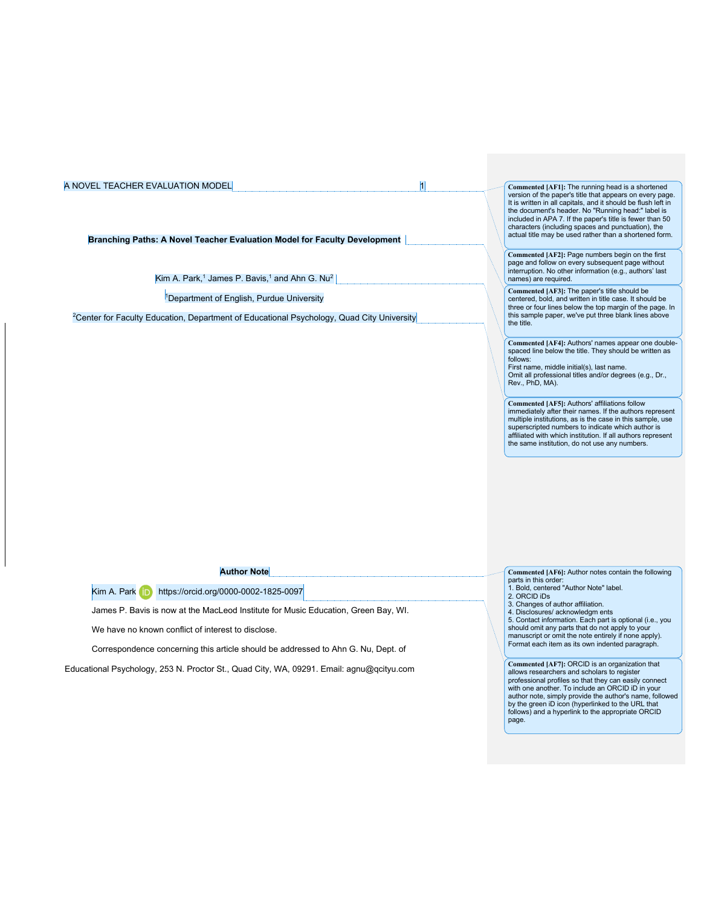**Branching Paths: A Novel Teacher Evaluation Model for Faculty Development**

Kim A. Park,<sup>1</sup> James P. Bavis,<sup>1</sup> and Ahn G. Nu<sup>2</sup>

<sup>1</sup>Department of English, Purdue University

<sup>2</sup>Center for Faculty Education, Department of Educational Psychology, Quad City University

**Commented [AF1]:** The running head is a shortened version of the paper's title that appears on every page. It is written in all capitals, and it should be flush left in the document's header. No "Running head:" label is included in APA 7. If the paper's title is fewer than 50 characters (including spaces and punctuation), the actual title may be used rather than a shortened form.

**Commented [AF2]:** Page numbers begin on the first page and follow on every subsequent page without interruption. No other information (e.g., authors' last names) are required.

**Commented [AF3]:** The paper's title should be centered, bold, and written in title case. It should be three or four lines below the top margin of the page. In this sample paper, we've put three blank lines above the title.

**Commented [AF4]:** Authors' names appear one double-spaced line below the title. They should be written as follows:

First name, middle initial(s), last name. Omit all professional titles and/or degrees (e.g., Dr., Rev., PhD, MA).

**Commented [AF5]:** Authors' affiliations follow immediately after their names. If the authors represent multiple institutions, as is the case in this sample, use superscripted numbers to indicate which author is affiliated with which institution. If all authors represent the same institution, do not use any numbers.

**Author Note**

Kim A. Park **in** https://orcid.org/0000-0002-1825-0097

James P. Bavis is now at the MacLeod Institute for Music Education, Green Bay, WI.

We have no known conflict of interest to disclose.

Correspondence concerning this article should be addressed to Ahn G. Nu, Dept. of

Educational Psychology, 253 N. Proctor St., Quad City, WA, 09291. Email: agnu@qcityu.com

**Commented [AF6]:** Author notes contain the following parts in this order 1. Bold, centered "Author Note" label. 2. ORCID iDs

- 3. Changes of author affiliation.
- 

4. Disclosures/ acknowledgm ents 5. Contact information. Each part is optional (i.e., you should omit any parts that do not apply to your manuscript or omit the note entirely if none apply). Format each item as its own indented paragraph.

**Commented [AF7]:** ORCID is an organization that allows researchers and scholars to register professional profiles so that they can easily connect with one another. To include an ORCID iD in your author note, simply provide the author's name, followed by the green iD icon (hyperlinked to the URL that follows) and a hyperlink to the appropriate ORCID page.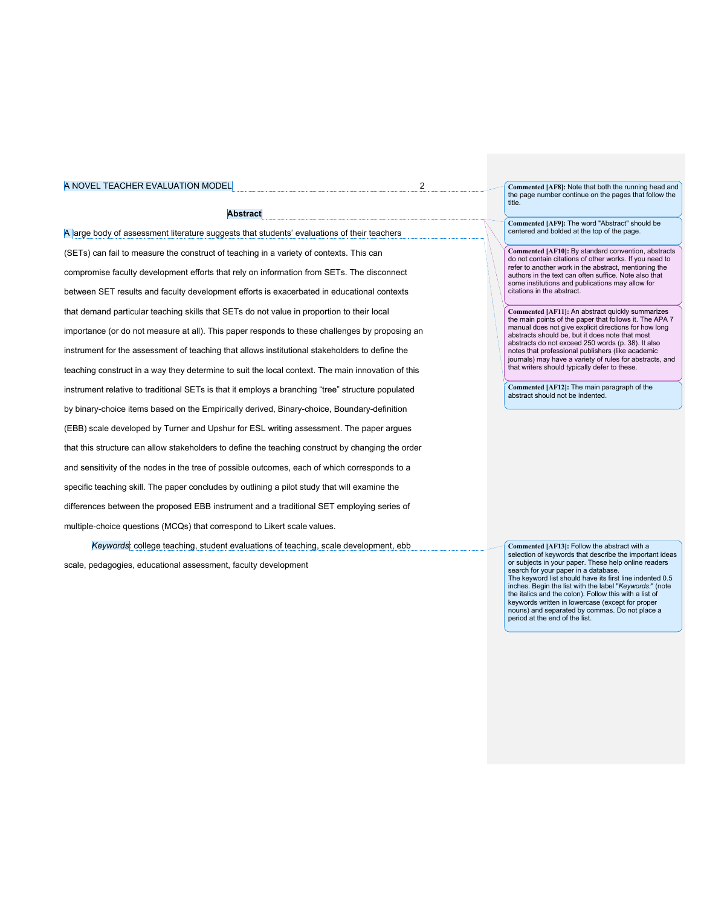## **Abstract**

A large body of assessment literature suggests that students' evaluations of their teachers (SETs) can fail to measure the construct of teaching in a variety of contexts. This can compromise faculty development efforts that rely on information from SETs. The disconnect between SET results and faculty development efforts is exacerbated in educational contexts that demand particular teaching skills that SETs do not value in proportion to their local importance (or do not measure at all). This paper responds to these challenges by proposing an instrument for the assessment of teaching that allows institutional stakeholders to define the teaching construct in a way they determine to suit the local context. The main innovation of this instrument relative to traditional SETs is that it employs a branching "tree" structure populated by binary-choice items based on the Empirically derived, Binary-choice, Boundary-definition (EBB) scale developed by Turner and Upshur for ESL writing assessment. The paper argues that this structure can allow stakeholders to define the teaching construct by changing the order and sensitivity of the nodes in the tree of possible outcomes, each of which corresponds to a specific teaching skill. The paper concludes by outlining a pilot study that will examine the differences between the proposed EBB instrument and a traditional SET employing series of multiple-choice questions (MCQs) that correspond to Likert scale values.

*Keywords:* college teaching, student evaluations of teaching, scale development, ebb scale, pedagogies, educational assessment, faculty development

**Commented [AF8]:** Note that both the running head and the page number continue on the pages that follow the title

**Commented [AF9]:** The word "Abstract" should be centered and bolded at the top of the page.

**Commented [AF10]:** By standard convention, abstracts do not contain citations of other works. If you need to refer to another work in the abstract, mentioning the authors in the text can often suffice. Note also that some institutions and publications may allow for citations in the abstract.

**Commented [AF11]:** An abstract quickly summarizes the main points of the paper that follows it. The APA 7 manual does not give explicit directions for how long abstracts should be, but it does note that most abstracts do not exceed 250 words (p. 38). It also notes that professional publishers (like academic journals) may have a variety of rules for abstracts, and that writers should typically defer to these.

**Commented [AF12]:** The main paragraph of the abstract should not be indented.

**Commented [AF13]:** Follow the abstract with a selection of keywords that describe the important ideas or subjects in your paper. These help online readers search for your paper in a database. The keyword list should have its first line indented 0.5 inches. Begin the list with the label "*Keywords:*" (note the italics and the colon). Follow this with a list of keywords written in lowercase (except for proper nouns) and separated by commas. Do not place a period at the end of the list.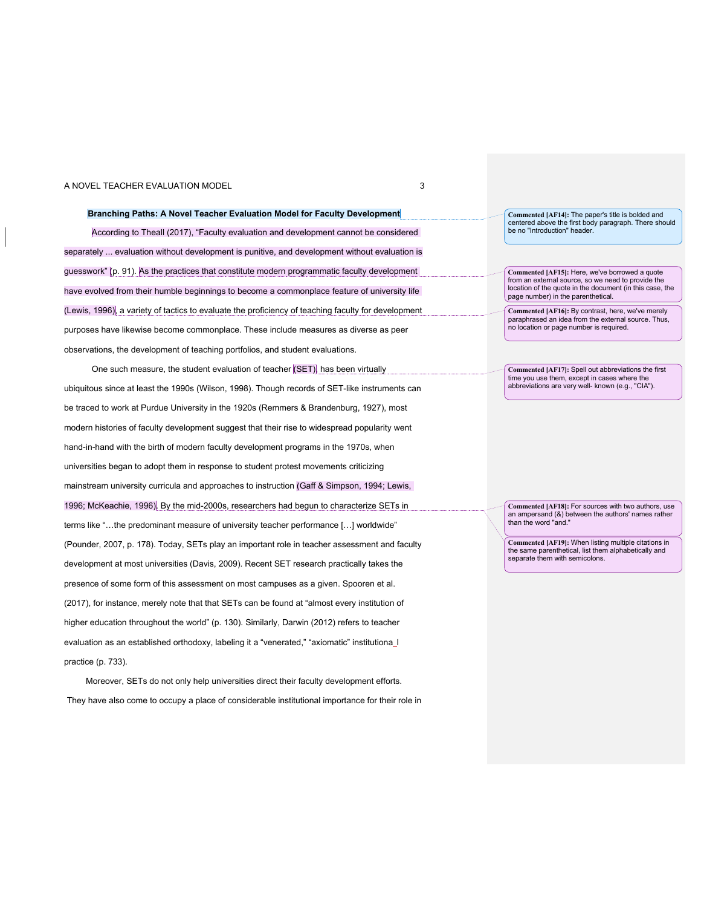## **Branching Paths: A Novel Teacher Evaluation Model for Faculty Development**

According to Theall (2017), "Faculty evaluation and development cannot be considered separately ... evaluation without development is punitive, and development without evaluation is guesswork" (p. 91). As the practices that constitute modern programmatic faculty development have evolved from their humble beginnings to become a commonplace feature of university life (Lewis, 1996), a variety of tactics to evaluate the proficiency of teaching faculty for development purposes have likewise become commonplace. These include measures as diverse as peer observations, the development of teaching portfolios, and student evaluations.

One such measure, the student evaluation of teacher (SET), has been virtually ubiquitous since at least the 1990s (Wilson, 1998). Though records of SET-like instruments can be traced to work at Purdue University in the 1920s (Remmers & Brandenburg, 1927), most modern histories of faculty development suggest that their rise to widespread popularity went hand-in-hand with the birth of modern faculty development programs in the 1970s, when universities began to adopt them in response to student protest movements criticizing mainstream university curricula and approaches to instruction (Gaff & Simpson, 1994; Lewis, 1996; McKeachie, 1996). By the mid-2000s, researchers had begun to characterize SETs in terms like "…the predominant measure of university teacher performance […] worldwide" (Pounder, 2007, p. 178). Today, SETs play an important role in teacher assessment and faculty development at most universities (Davis, 2009). Recent SET research practically takes the presence of some form of this assessment on most campuses as a given. Spooren et al. (2017), for instance, merely note that that SETs can be found at "almost every institution of higher education throughout the world" (p. 130). Similarly, Darwin (2012) refers to teacher evaluation as an established orthodoxy, labeling it a "venerated," "axiomatic" institutiona\_I practice (p. 733).

Moreover, SETs do not only help universities direct their faculty development efforts. They have also come to occupy a place of considerable institutional importance for their role in

**Commented [AF14]:** The paper's title is bolded and centered above the first body paragraph. There should be no "Introduction" header.

**Commented [AF15]:** Here, we've borrowed a quote from an external source, so we need to provide the location of the quote in the document (in this case, the page number) in the parenthetical.

**Commented [AF16]:** By contrast, here, we've merely paraphrased an idea from the external source. Thus, no location or page number is required.

**Commented [AF17]:** Spell out abbreviations the first time you use them, except in cases where the abbreviations are very well- known (e.g., "CIA").

**Commented [AF18]:** For sources with two authors, use an ampersand (&) between the authors' names rather than the word "and."

**Commented [AF19]:** When listing multiple citations in the same parenthetical, list them alphabetically and separate them with semicolons.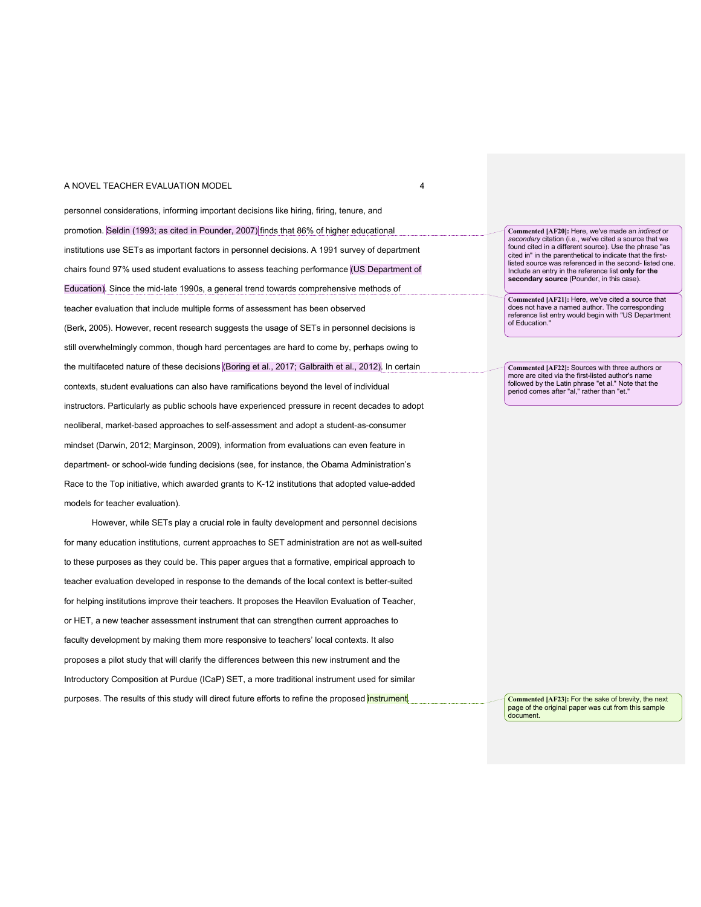### A NOVEL TEACHER EVALUATION MODEL **A** A NOVEL **1** 4

personnel considerations, informing important decisions like hiring, firing, tenure, and promotion. Seldin (1993; as cited in Pounder, 2007) finds that 86% of higher educational institutions use SETs as important factors in personnel decisions. A 1991 survey of department chairs found 97% used student evaluations to assess teaching performance (US Department of Education). Since the mid-late 1990s, a general trend towards comprehensive methods of teacher evaluation that include multiple forms of assessment has been observed (Berk, 2005). However, recent research suggests the usage of SETs in personnel decisions is still overwhelmingly common, though hard percentages are hard to come by, perhaps owing to the multifaceted nature of these decisions (Boring et al., 2017; Galbraith et al., 2012). In certain contexts, student evaluations can also have ramifications beyond the level of individual instructors. Particularly as public schools have experienced pressure in recent decades to adopt neoliberal, market-based approaches to self-assessment and adopt a student-as-consumer mindset (Darwin, 2012; Marginson, 2009), information from evaluations can even feature in department- or school-wide funding decisions (see, for instance, the Obama Administration's Race to the Top initiative, which awarded grants to K-12 institutions that adopted value-added models for teacher evaluation).

However, while SETs play a crucial role in faulty development and personnel decisions for many education institutions, current approaches to SET administration are not as well-suited to these purposes as they could be. This paper argues that a formative, empirical approach to teacher evaluation developed in response to the demands of the local context is better-suited for helping institutions improve their teachers. It proposes the Heavilon Evaluation of Teacher, or HET, a new teacher assessment instrument that can strengthen current approaches to faculty development by making them more responsive to teachers' local contexts. It also proposes a pilot study that will clarify the differences between this new instrument and the Introductory Composition at Purdue (ICaP) SET, a more traditional instrument used for similar purposes. The results of this study will direct future efforts to refine the proposed instrument.

**Commented [AF20]:** Here, we've made an *indirect* or *secondary* citation (i.e., we've cited a source that we found cited in a different source). Use the phrase "as cited in" in the parenthetical to indicate that the first-listed source was referenced in the second- listed one. Include an entry in the reference list **only for the secondary source** (Pounder, in this case).

**Commented [AF21]:** Here, we've cited a source that does not have a named author. The corresponding reference list entry would begin with "US Department of Education."

**Commented [AF22]:** Sources with three authors or more are cited via the first-listed author's name followed by the Latin phrase "et al." Note that the period comes after "al," rather than "et."

**Commented [AF23]:** For the sake of brevity, the next page of the original paper was cut from this sample document.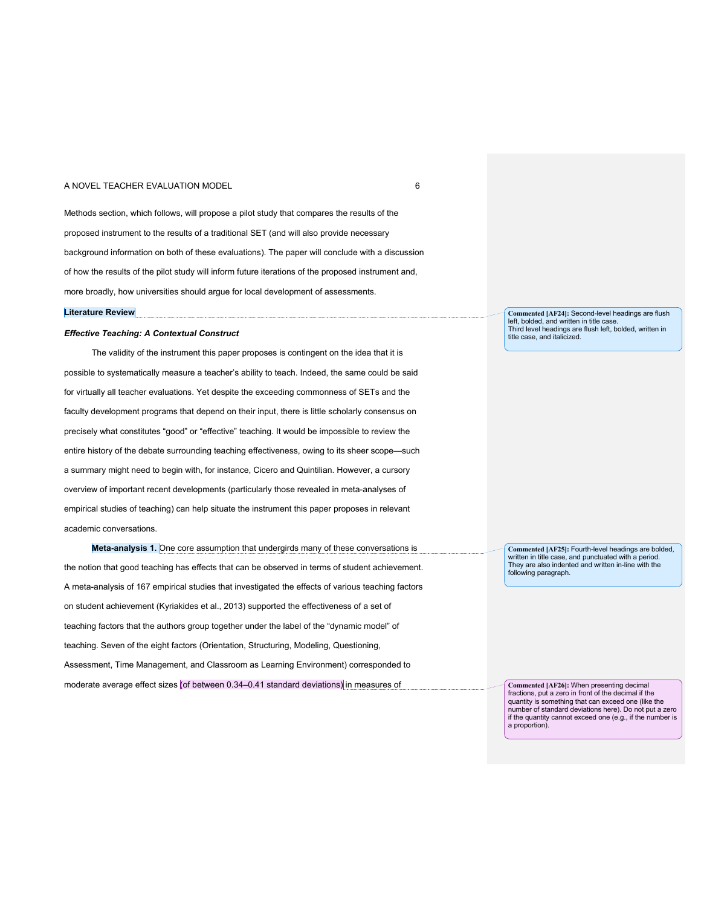### A NOVEL TEACHER EVALUATION MODEL **1999** CONTROLLER 1999 CONTROLLER 1999 CONTROLLER 1999 CONTROLLER 1999 CONTROLLER

Methods section, which follows, will propose a pilot study that compares the results of the proposed instrument to the results of a traditional SET (and will also provide necessary background information on both of these evaluations). The paper will conclude with a discussion of how the results of the pilot study will inform future iterations of the proposed instrument and, more broadly, how universities should argue for local development of assessments.

#### **Literature Review**

## *Effective Teaching: A Contextual Construct*

The validity of the instrument this paper proposes is contingent on the idea that it is possible to systematically measure a teacher's ability to teach. Indeed, the same could be said for virtually all teacher evaluations. Yet despite the exceeding commonness of SETs and the faculty development programs that depend on their input, there is little scholarly consensus on precisely what constitutes "good" or "effective" teaching. It would be impossible to review the entire history of the debate surrounding teaching effectiveness, owing to its sheer scope—such a summary might need to begin with, for instance, Cicero and Quintilian. However, a cursory overview of important recent developments (particularly those revealed in meta-analyses of empirical studies of teaching) can help situate the instrument this paper proposes in relevant academic conversations.

**Meta-analysis 1.** One core assumption that undergirds many of these conversations is the notion that good teaching has effects that can be observed in terms of student achievement. A meta-analysis of 167 empirical studies that investigated the effects of various teaching factors on student achievement (Kyriakides et al., 2013) supported the effectiveness of a set of teaching factors that the authors group together under the label of the "dynamic model" of teaching. Seven of the eight factors (Orientation, Structuring, Modeling, Questioning, Assessment, Time Management, and Classroom as Learning Environment) corresponded to moderate average effect sizes (of between 0.34–0.41 standard deviations) in measures of

**Commented [AF24]:** Second-level headings are flush left, bolded, and written in title case. Third level headings are flush left, bolded, written in title case, and italicized.

**Commented [AF25]:** Fourth-level headings are bolded, written in title case, and punctuated with a period. They are also indented and written in-line with the following paragraph.

**Commented [AF26]:** When presenting decimal fractions, put a zero in front of the decimal if the quantity is something that can exceed one (like the number of standard deviations here). Do not put a zero if the quantity cannot exceed one (e.g., if the number is a proportion).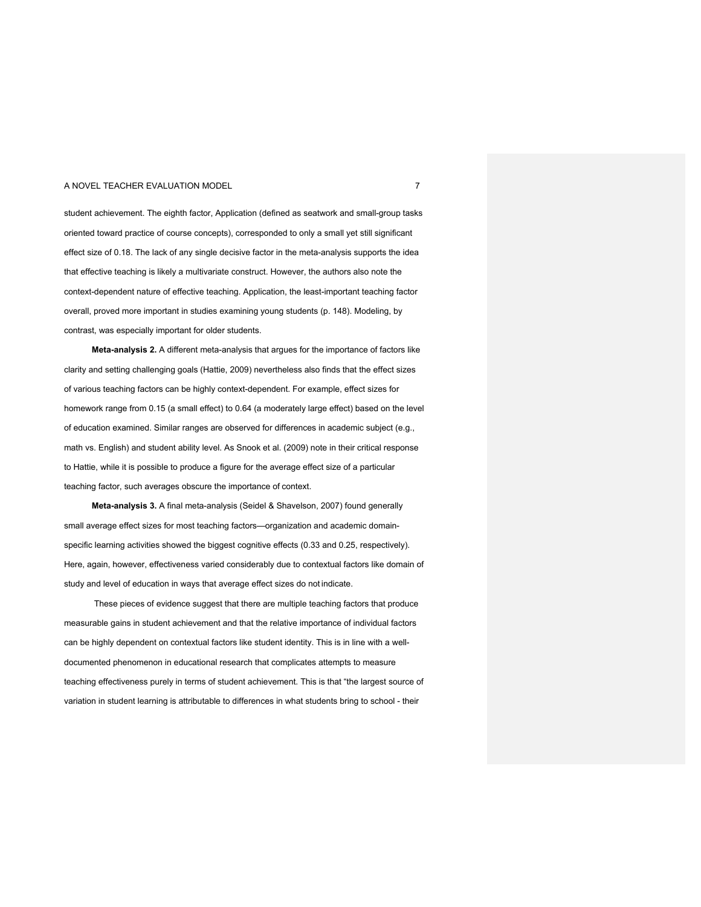### A NOVEL TEACHER EVALUATION MODEL **7** 2022 12:30 THE RESERVE OF A 2022 12:30 THE RESERVE OF A 2022 12:30 THE RESERVE OF A 2022 12:30 THE RESERVE OF A 2022 12:30 THE RESERVE OF A 2022 12:30 THE RESERVE OF A 2022 12:30 THE RE

student achievement. The eighth factor, Application (defined as seatwork and small-group tasks oriented toward practice of course concepts), corresponded to only a small yet still significant effect size of 0.18. The lack of any single decisive factor in the meta-analysis supports the idea that effective teaching is likely a multivariate construct. However, the authors also note the context-dependent nature of effective teaching. Application, the least-important teaching factor overall, proved more important in studies examining young students (p. 148). Modeling, by contrast, was especially important for older students.

**Meta-analysis 2.** A different meta-analysis that argues for the importance of factors like clarity and setting challenging goals (Hattie, 2009) nevertheless also finds that the effect sizes of various teaching factors can be highly context-dependent. For example, effect sizes for homework range from 0.15 (a small effect) to 0.64 (a moderately large effect) based on the level of education examined. Similar ranges are observed for differences in academic subject (e.g., math vs. English) and student ability level. As Snook et al. (2009) note in their critical response to Hattie, while it is possible to produce a figure for the average effect size of a particular teaching factor, such averages obscure the importance of context.

**Meta-analysis 3.** A final meta-analysis (Seidel & Shavelson, 2007) found generally small average effect sizes for most teaching factors—organization and academic domainspecific learning activities showed the biggest cognitive effects (0.33 and 0.25, respectively). Here, again, however, effectiveness varied considerably due to contextual factors like domain of study and level of education in ways that average effect sizes do not indicate.

These pieces of evidence suggest that there are multiple teaching factors that produce measurable gains in student achievement and that the relative importance of individual factors can be highly dependent on contextual factors like student identity. This is in line with a welldocumented phenomenon in educational research that complicates attempts to measure teaching effectiveness purely in terms of student achievement. This is that "the largest source of variation in student learning is attributable to differences in what students bring to school - their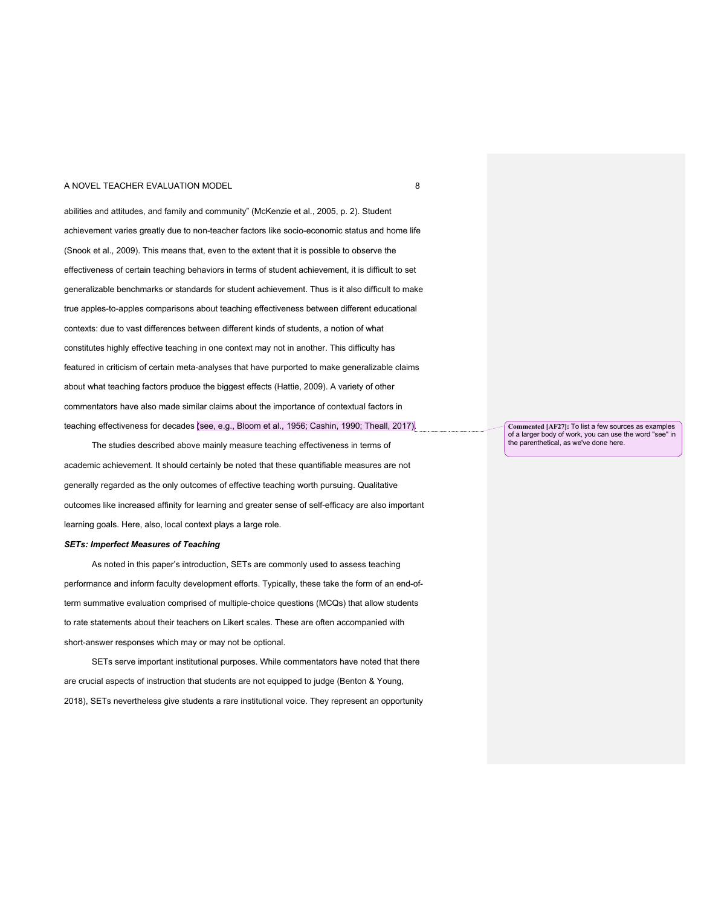abilities and attitudes, and family and community" (McKenzie et al., 2005, p. 2). Student achievement varies greatly due to non-teacher factors like socio-economic status and home life (Snook et al., 2009). This means that, even to the extent that it is possible to observe the effectiveness of certain teaching behaviors in terms of student achievement, it is difficult to set generalizable benchmarks or standards for student achievement. Thus is it also difficult to make true apples-to-apples comparisons about teaching effectiveness between different educational contexts: due to vast differences between different kinds of students, a notion of what constitutes highly effective teaching in one context may not in another. This difficulty has featured in criticism of certain meta-analyses that have purported to make generalizable claims about what teaching factors produce the biggest effects (Hattie, 2009). A variety of other commentators have also made similar claims about the importance of contextual factors in teaching effectiveness for decades (see, e.g., Bloom et al., 1956; Cashin, 1990; Theall, 2017).

The studies described above mainly measure teaching effectiveness in terms of academic achievement. It should certainly be noted that these quantifiable measures are not generally regarded as the only outcomes of effective teaching worth pursuing. Qualitative outcomes like increased affinity for learning and greater sense of self-efficacy are also important learning goals. Here, also, local context plays a large role.

## *SETs: Imperfect Measures of Teaching*

As noted in this paper's introduction, SETs are commonly used to assess teaching performance and inform faculty development efforts. Typically, these take the form of an end-ofterm summative evaluation comprised of multiple-choice questions (MCQs) that allow students to rate statements about their teachers on Likert scales. These are often accompanied with short-answer responses which may or may not be optional.

SETs serve important institutional purposes. While commentators have noted that there are crucial aspects of instruction that students are not equipped to judge (Benton & Young, 2018), SETs nevertheless give students a rare institutional voice. They represent an opportunity **Commented [AF27]:** To list a few sources as examples of a larger body of work, you can use the word "see" in the parenthetical, as we've done here.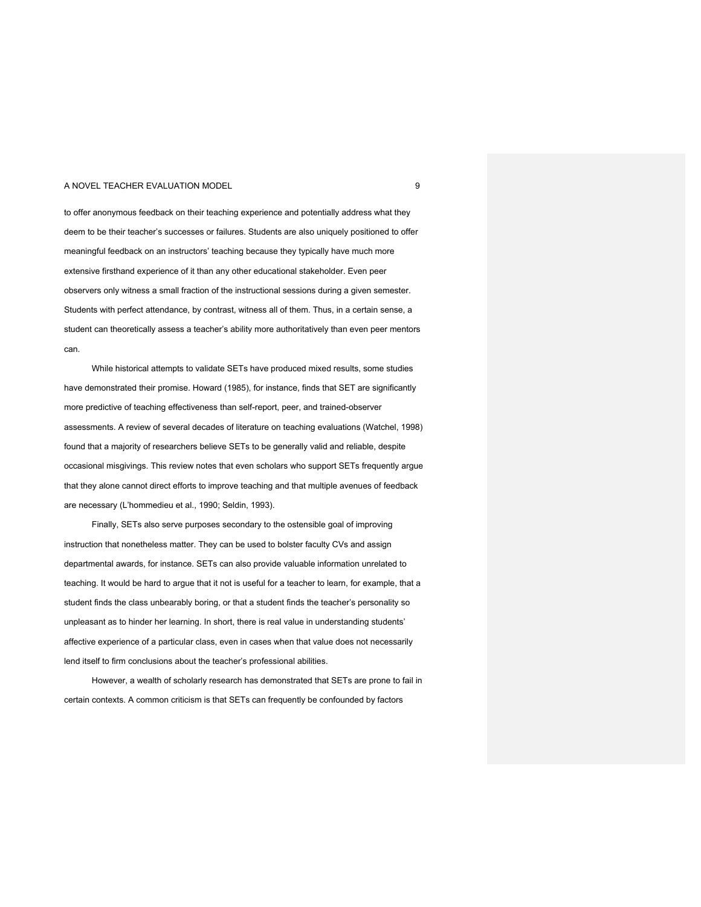#### A NOVEL TEACHER EVALUATION MODEL **A** NOVEL **19** 9

to offer anonymous feedback on their teaching experience and potentially address what they deem to be their teacher's successes or failures. Students are also uniquely positioned to offer meaningful feedback on an instructors' teaching because they typically have much more extensive firsthand experience of it than any other educational stakeholder. Even peer observers only witness a small fraction of the instructional sessions during a given semester. Students with perfect attendance, by contrast, witness all of them. Thus, in a certain sense, a student can theoretically assess a teacher's ability more authoritatively than even peer mentors can.

While historical attempts to validate SETs have produced mixed results, some studies have demonstrated their promise. Howard (1985), for instance, finds that SET are significantly more predictive of teaching effectiveness than self-report, peer, and trained-observer assessments. A review of several decades of literature on teaching evaluations (Watchel, 1998) found that a majority of researchers believe SETs to be generally valid and reliable, despite occasional misgivings. This review notes that even scholars who support SETs frequently argue that they alone cannot direct efforts to improve teaching and that multiple avenues of feedback are necessary (L'hommedieu et al., 1990; Seldin, 1993).

Finally, SETs also serve purposes secondary to the ostensible goal of improving instruction that nonetheless matter. They can be used to bolster faculty CVs and assign departmental awards, for instance. SETs can also provide valuable information unrelated to teaching. It would be hard to argue that it not is useful for a teacher to learn, for example, that a student finds the class unbearably boring, or that a student finds the teacher's personality so unpleasant as to hinder her learning. In short, there is real value in understanding students' affective experience of a particular class, even in cases when that value does not necessarily lend itself to firm conclusions about the teacher's professional abilities.

However, a wealth of scholarly research has demonstrated that SETs are prone to fail in certain contexts. A common criticism is that SETs can frequently be confounded by factors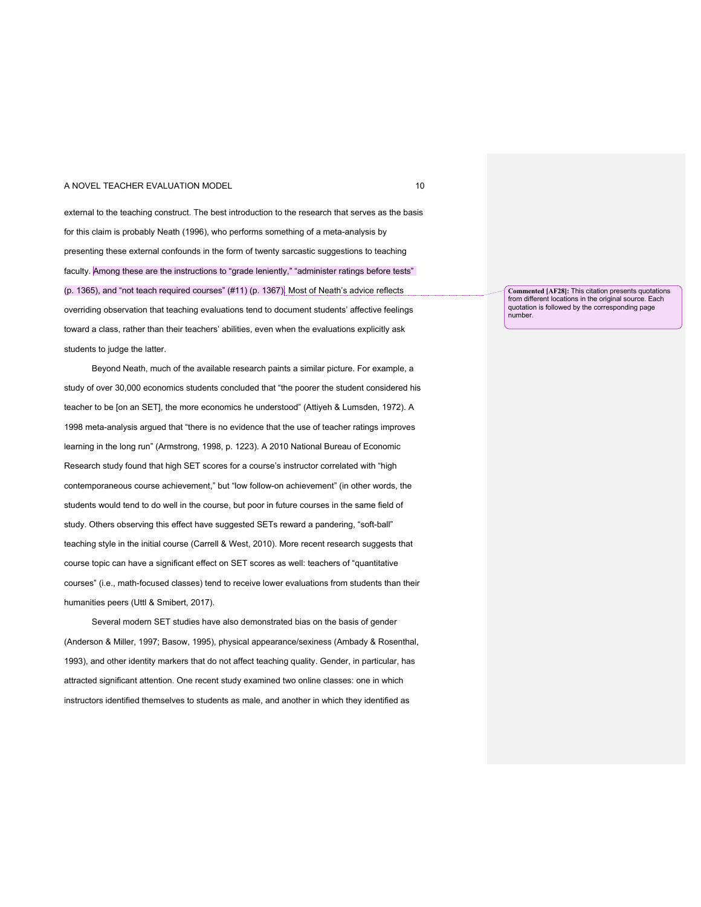### A NOVEL TEACHER EVALUATION MODEL **10** NOVEL 10

external to the teaching construct. The best introduction to the research that serves as the basis for this claim is probably Neath (1996), who performs something of a meta-analysis by presenting these external confounds in the form of twenty sarcastic suggestions to teaching faculty. Among these are the instructions to "grade leniently," "administer ratings before tests" (p. 1365), and "not teach required courses" (#11) (p. 1367). Most of Neath's advice reflects overriding observation that teaching evaluations tend to document students' affective feelings toward a class, rather than their teachers' abilities, even when the evaluations explicitly ask students to judge the latter.

Beyond Neath, much of the available research paints a similar picture. For example, a study of over 30,000 economics students concluded that "the poorer the student considered his teacher to be [on an SET], the more economics he understood" (Attiyeh & Lumsden, 1972). A 1998 meta-analysis argued that "there is no evidence that the use of teacher ratings improves learning in the long run" (Armstrong, 1998, p. 1223). A 2010 National Bureau of Economic Research study found that high SET scores for a course's instructor correlated with "high contemporaneous course achievement," but "low follow-on achievement" (in other words, the students would tend to do well in the course, but poor in future courses in the same field of study. Others observing this effect have suggested SETs reward a pandering, "soft-ball" teaching style in the initial course (Carrell & West, 2010). More recent research suggests that course topic can have a significant effect on SET scores as well: teachers of "quantitative courses" (i.e., math-focused classes) tend to receive lower evaluations from students than their humanities peers (Uttl & Smibert, 2017).

Several modern SET studies have also demonstrated bias on the basis of gender (Anderson & Miller, 1997; Basow, 1995), physical appearance/sexiness (Ambady & Rosenthal, 1993), and other identity markers that do not affect teaching quality. Gender, in particular, has attracted significant attention. One recent study examined two online classes: one in which instructors identified themselves to students as male, and another in which they identified as

**Commented [AF28]:** This citation presents quotations from different locations in the original source. Each quotation is followed by the corresponding page number.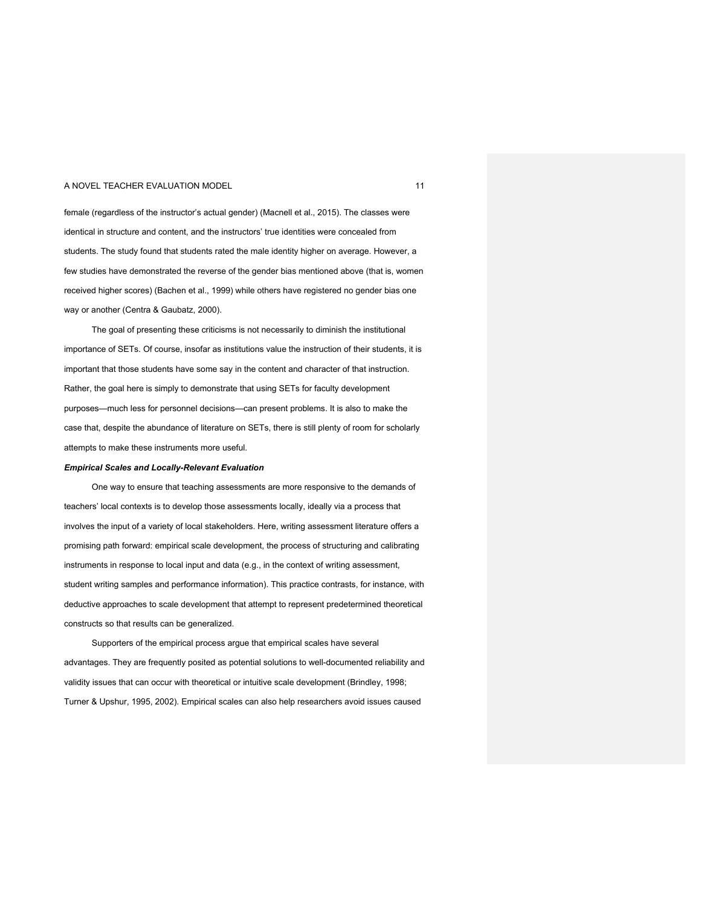female (regardless of the instructor's actual gender) (Macnell et al., 2015). The classes were identical in structure and content, and the instructors' true identities were concealed from students. The study found that students rated the male identity higher on average. However, a few studies have demonstrated the reverse of the gender bias mentioned above (that is, women received higher scores) (Bachen et al., 1999) while others have registered no gender bias one way or another (Centra & Gaubatz, 2000).

The goal of presenting these criticisms is not necessarily to diminish the institutional importance of SETs. Of course, insofar as institutions value the instruction of their students, it is important that those students have some say in the content and character of that instruction. Rather, the goal here is simply to demonstrate that using SETs for faculty development purposes—much less for personnel decisions—can present problems. It is also to make the case that, despite the abundance of literature on SETs, there is still plenty of room for scholarly attempts to make these instruments more useful.

#### *Empirical Scales and Locally-Relevant Evaluation*

One way to ensure that teaching assessments are more responsive to the demands of teachers' local contexts is to develop those assessments locally, ideally via a process that involves the input of a variety of local stakeholders. Here, writing assessment literature offers a promising path forward: empirical scale development, the process of structuring and calibrating instruments in response to local input and data (e.g., in the context of writing assessment, student writing samples and performance information). This practice contrasts, for instance, with deductive approaches to scale development that attempt to represent predetermined theoretical constructs so that results can be generalized.

Supporters of the empirical process argue that empirical scales have several advantages. They are frequently posited as potential solutions to well-documented reliability and validity issues that can occur with theoretical or intuitive scale development (Brindley, 1998; Turner & Upshur, 1995, 2002). Empirical scales can also help researchers avoid issues caused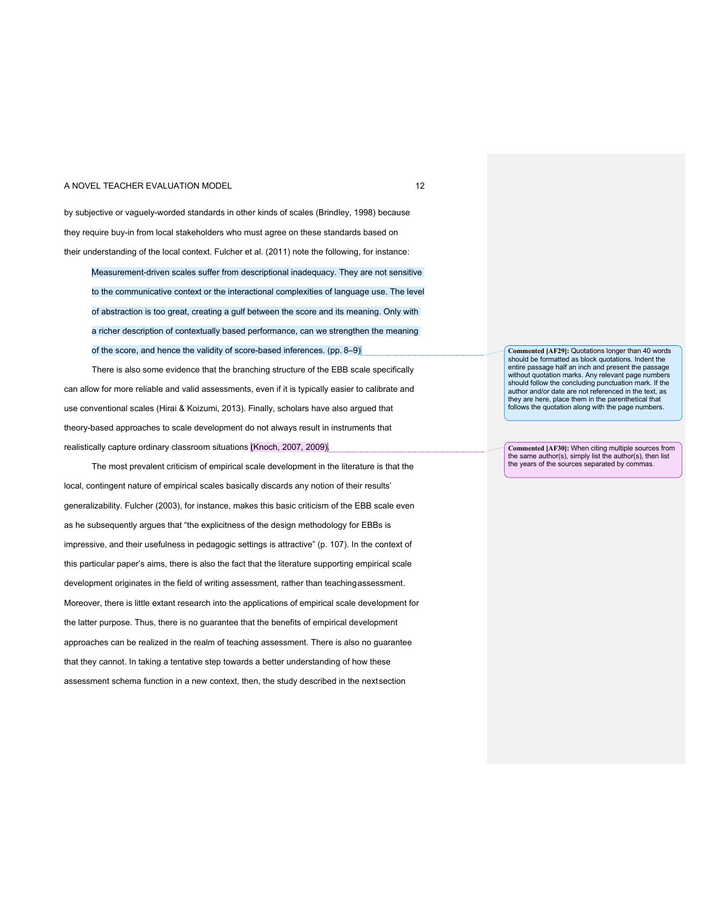#### A NOVEL TEACHER EVALUATION MODEL **12** ANOVEL **12**

by subjective or vaguely-worded standards in other kinds of scales (Brindley, 1998) because they require buy-in from local stakeholders who must agree on these standards based on their understanding of the local context. Fulcher et al. (2011) note the following, for instance:

Measurement-driven scales suffer from descriptional inadequacy. They are not sensitive to the communicative context or the interactional complexities of language use. The level of abstraction is too great, creating a gulf between the score and its meaning. Only with a richer description of contextually based performance, can we strengthen the meaning of the score, and hence the validity of score-based inferences. (pp. 8–9)

There is also some evidence that the branching structure of the EBB scale specifically can allow for more reliable and valid assessments, even if it is typically easier to calibrate and use conventional scales (Hirai & Koizumi, 2013). Finally, scholars have also argued that theory-based approaches to scale development do not always result in instruments that realistically capture ordinary classroom situations (Knoch, 2007, 2009).

The most prevalent criticism of empirical scale development in the literature is that the local, contingent nature of empirical scales basically discards any notion of their results' generalizability. Fulcher (2003), for instance, makes this basic criticism of the EBB scale even as he subsequently argues that "the explicitness of the design methodology for EBBs is impressive, and their usefulness in pedagogic settings is attractive" (p. 107). In the context of this particular paper's aims, there is also the fact that the literature supporting empirical scale development originates in the field of writing assessment, rather than teachingassessment. Moreover, there is little extant research into the applications of empirical scale development for the latter purpose. Thus, there is no guarantee that the benefits of empirical development approaches can be realized in the realm of teaching assessment. There is also no guarantee that they cannot. In taking a tentative step towards a better understanding of how these assessment schema function in a new context, then, the study described in the nextsection

**Commented [AF29]:** Quotations longer than 40 words should be formatted as block quotations. Indent the entire passage half an inch and present the passage without quotation marks. Any relevant page numbers should follow the concluding punctuation mark. If the author and/or date are not referenced in the text, as they are here, place them in the parenthetical that follows the quotation along with the page numbers.

**Commented [AF30]:** When citing multiple sources from the same author(s), simply list the author(s), then list the years of the sources separated by commas.

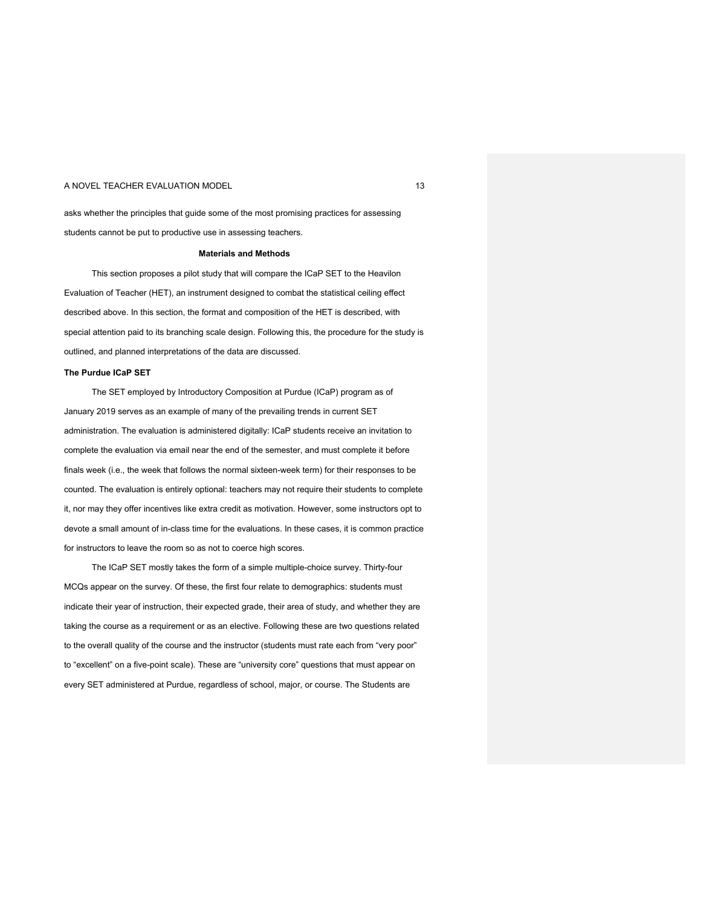## A NOVEL TEACHER EVALUATION MODEL **13** ANOVEL **13**

asks whether the principles that guide some of the most promising practices for assessing students cannot be put to productive use in assessing teachers.

## **Materials and Methods**

This section proposes a pilot study that will compare the ICaP SET to the Heavilon Evaluation of Teacher (HET), an instrument designed to combat the statistical ceiling effect described above. In this section, the format and composition of the HET is described, with special attention paid to its branching scale design. Following this, the procedure for the study is outlined, and planned interpretations of the data are discussed.

## **The Purdue ICaP SET**

The SET employed by Introductory Composition at Purdue (ICaP) program as of January 2019 serves as an example of many of the prevailing trends in current SET administration. The evaluation is administered digitally: ICaP students receive an invitation to complete the evaluation via email near the end of the semester, and must complete it before finals week (i.e., the week that follows the normal sixteen-week term) for their responses to be counted. The evaluation is entirely optional: teachers may not require their students to complete it, nor may they offer incentives like extra credit as motivation. However, some instructors opt to devote a small amount of in-class time for the evaluations. In these cases, it is common practice for instructors to leave the room so as not to coerce high scores.

The ICaP SET mostly takes the form of a simple multiple-choice survey. Thirty-four MCQs appear on the survey. Of these, the first four relate to demographics: students must indicate their year of instruction, their expected grade, their area of study, and whether they are taking the course as a requirement or as an elective. Following these are two questions related to the overall quality of the course and the instructor (students must rate each from "very poor" to "excellent" on a five-point scale). These are "university core" questions that must appear on every SET administered at Purdue, regardless of school, major, or course. The Students are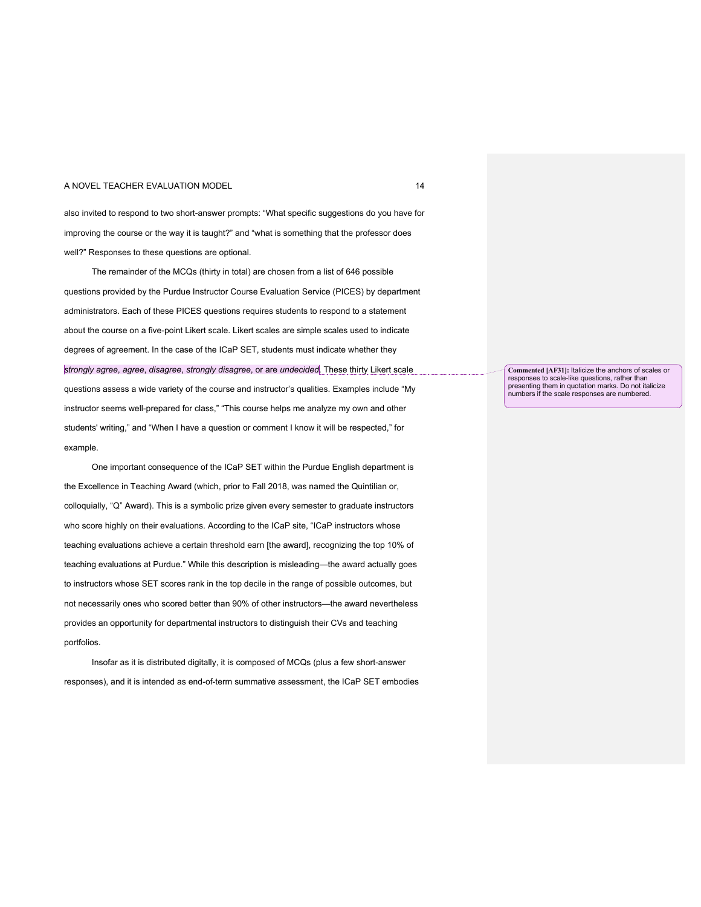#### A NOVEL TEACHER EVALUATION MODEL **14** NOVEL 14

also invited to respond to two short-answer prompts: "What specific suggestions do you have for improving the course or the way it is taught?" and "what is something that the professor does well?" Responses to these questions are optional.

The remainder of the MCQs (thirty in total) are chosen from a list of 646 possible questions provided by the Purdue Instructor Course Evaluation Service (PICES) by department administrators. Each of these PICES questions requires students to respond to a statement about the course on a five-point Likert scale. Likert scales are simple scales used to indicate degrees of agreement. In the case of the ICaP SET, students must indicate whether they *strongly agree*, *agree*, *disagree*, *strongly disagree*, or are *undecided*. These thirty Likert scale questions assess a wide variety of the course and instructor's qualities. Examples include "My instructor seems well-prepared for class," "This course helps me analyze my own and other students' writing," and "When I have a question or comment I know it will be respected," for example.

One important consequence of the ICaP SET within the Purdue English department is the Excellence in Teaching Award (which, prior to Fall 2018, was named the Quintilian or, colloquially, "Q" Award). This is a symbolic prize given every semester to graduate instructors who score highly on their evaluations. According to the ICaP site, "ICaP instructors whose teaching evaluations achieve a certain threshold earn [the award], recognizing the top 10% of teaching evaluations at Purdue." While this description is misleading—the award actually goes to instructors whose SET scores rank in the top decile in the range of possible outcomes, but not necessarily ones who scored better than 90% of other instructors—the award nevertheless provides an opportunity for departmental instructors to distinguish their CVs and teaching portfolios.

Insofar as it is distributed digitally, it is composed of MCQs (plus a few short-answer responses), and it is intended as end-of-term summative assessment, the ICaP SET embodies **Commented [AF31]:** Italicize the anchors of scales or responses to scale-like questions, rather than presenting them in quotation marks. Do not italicize numbers if the scale responses are numbered.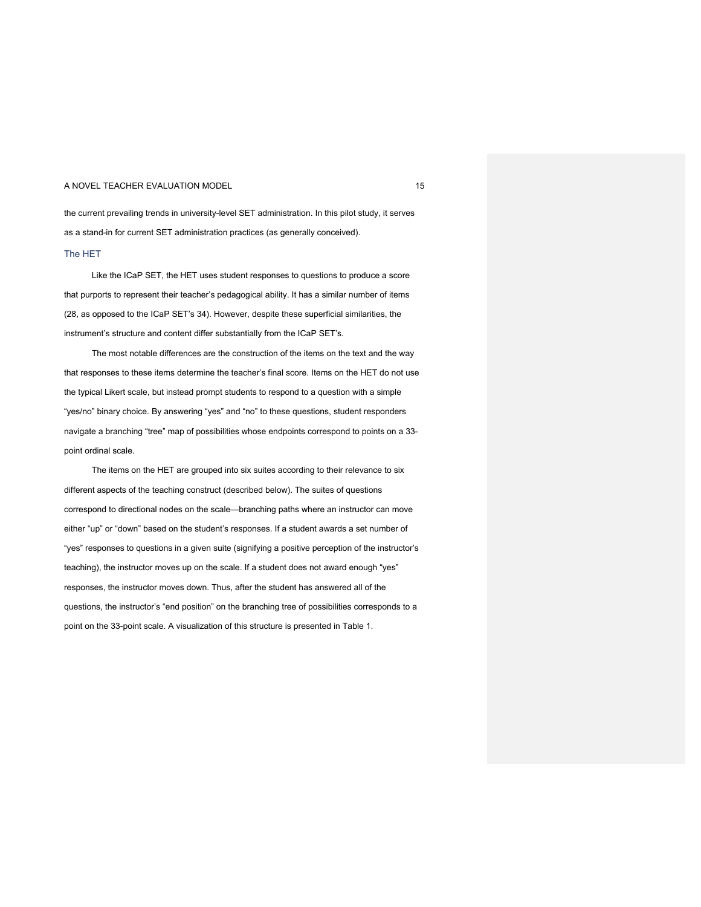the current prevailing trends in university-level SET administration. In this pilot study, it serves as a stand-in for current SET administration practices (as generally conceived). The HET

Like the ICaP SET, the HET uses student responses to questions to produce a score that purports to represent their teacher's pedagogical ability. It has a similar number of items (28, as opposed to the ICaP SET's 34). However, despite these superficial similarities, the instrument's structure and content differ substantially from the ICaP SET's.

The most notable differences are the construction of the items on the text and the way that responses to these items determine the teacher's final score. Items on the HET do not use the typical Likert scale, but instead prompt students to respond to a question with a simple "yes/no" binary choice. By answering "yes" and "no" to these questions, student responders navigate a branching "tree" map of possibilities whose endpoints correspond to points on a 33 point ordinal scale.

The items on the HET are grouped into six suites according to their relevance to six different aspects of the teaching construct (described below). The suites of questions correspond to directional nodes on the scale—branching paths where an instructor can move either "up" or "down" based on the student's responses. If a student awards a set number of "yes" responses to questions in a given suite (signifying a positive perception of the instructor's teaching), the instructor moves up on the scale. If a student does not award enough "yes" responses, the instructor moves down. Thus, after the student has answered all of the questions, the instructor's "end position" on the branching tree of possibilities corresponds to a point on the 33-point scale. A visualization of this structure is presented in Table 1.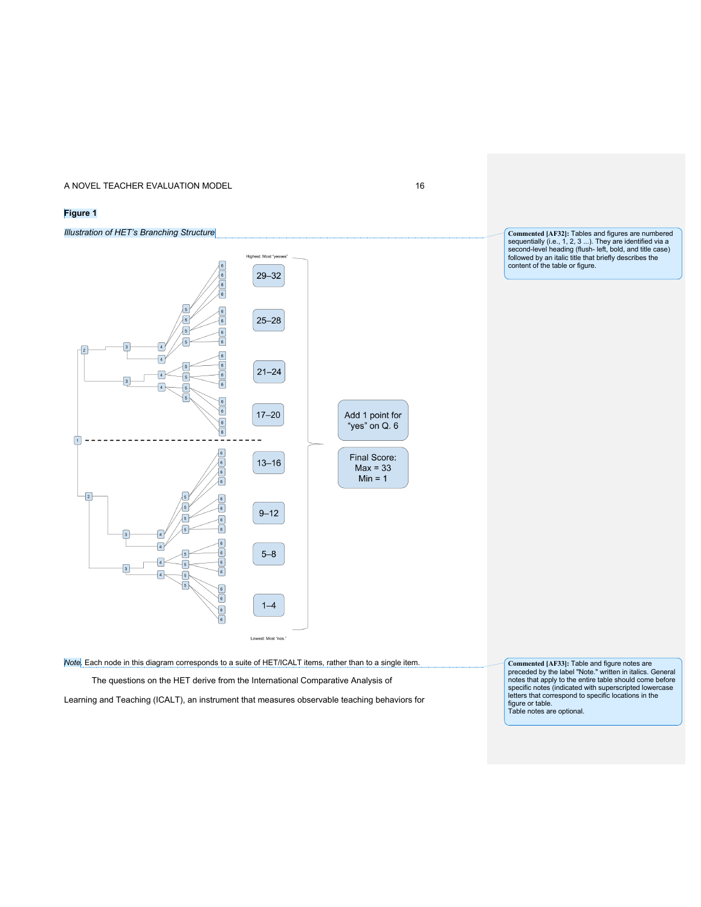## **Figure 1**

## *Illustration of HET's Branching Structure*



**Commented [AF32]:** Tables and figures are numbered sequentially (i.e., 1, 2, 3 ...). They are identified via a second-level heading (flush- left, bold, and title case) followed by an italic title that briefly describes the content of the table or figure.

*Note.* Each node in this diagram corresponds to a suite of HET/ICALT items, rather than to a single item.

The questions on the HET derive from the International Comparative Analysis of

Learning and Teaching (ICALT), an instrument that measures observable teaching behaviors for

**Commented [AF33]:** Table and figure notes are preceded by the label "Note." written in italics. General notes that apply to the entire table should come before specific notes (indicated with superscripted lowercase letters that correspond to specific locations in the figure or table. Table notes are optional.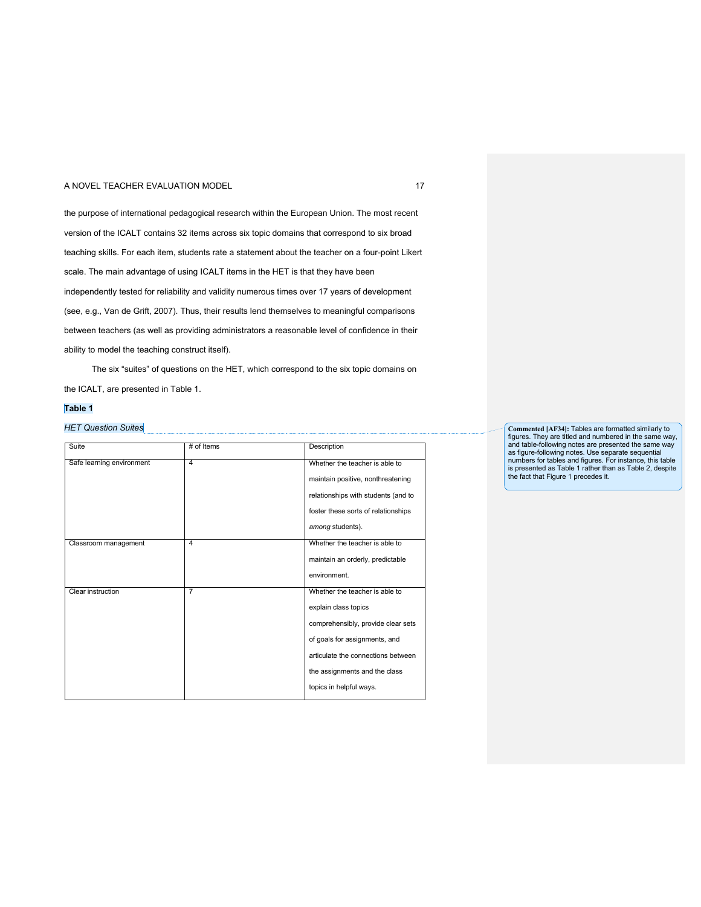the purpose of international pedagogical research within the European Union. The most recent version of the ICALT contains 32 items across six topic domains that correspond to six broad teaching skills. For each item, students rate a statement about the teacher on a four-point Likert scale. The main advantage of using ICALT items in the HET is that they have been independently tested for reliability and validity numerous times over 17 years of development (see, e.g., Van de Grift, 2007). Thus, their results lend themselves to meaningful comparisons between teachers (as well as providing administrators a reasonable level of confidence in their ability to model the teaching construct itself).

The six "suites" of questions on the HET, which correspond to the six topic domains on the ICALT, are presented in Table 1.

## **Table 1**

## *HET Question Suites*

| Suite                     | # of Items     | Description                         |
|---------------------------|----------------|-------------------------------------|
|                           |                |                                     |
| Safe learning environment | 4              | Whether the teacher is able to      |
|                           |                | maintain positive, nonthreatening   |
|                           |                | relationships with students (and to |
|                           |                | foster these sorts of relationships |
|                           |                | among students).                    |
| Classroom management      | $\overline{4}$ | Whether the teacher is able to      |
|                           |                | maintain an orderly, predictable    |
|                           |                | environment.                        |
| Clear instruction         | $\overline{7}$ | Whether the teacher is able to      |
|                           |                | explain class topics                |
|                           |                | comprehensibly, provide clear sets  |
|                           |                | of goals for assignments, and       |
|                           |                | articulate the connections between  |
|                           |                | the assignments and the class       |
|                           |                | topics in helpful ways.             |

**Commented [AF34]:** Tables are formatted similarly to figures. They are titled and numbered in the same way,<br>and table-following notes are presented the same way<br>as figure-following notes. Use separate sequential<br>numbers for tables and figures. For instance, this table<br>is pre the fact that Figure 1 precedes it.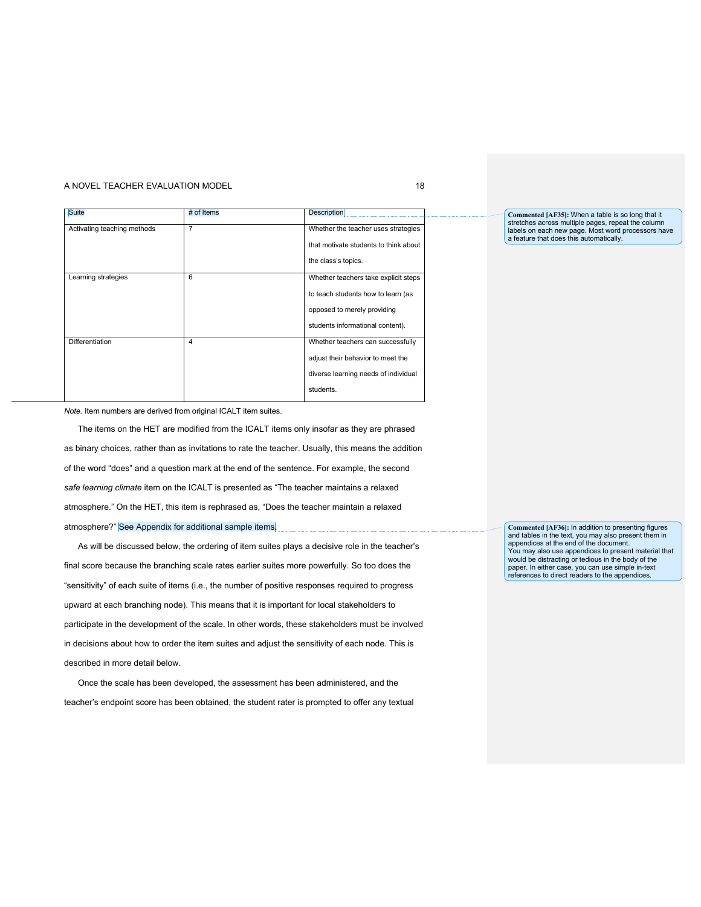| <b>Suite</b>                | # of Items     | <b>Description</b>                    |
|-----------------------------|----------------|---------------------------------------|
| Activating teaching methods | $\overline{7}$ | Whether the teacher uses strategies   |
|                             |                | that motivate students to think about |
|                             |                | the class's topics.                   |
| Learning strategies         | 6              | Whether teachers take explicit steps  |
|                             |                | to teach students how to learn (as    |
|                             |                | opposed to merely providing           |
|                             |                | students informational content).      |
| Differentiation             | $\overline{4}$ | Whether teachers can successfully     |
|                             |                | adjust their behavior to meet the     |
|                             |                | diverse learning needs of individual  |
|                             |                | students.                             |

*Note.* Item numbers are derived from original ICALT item suites.

The items on the HET are modified from the ICALT items only insofar as they are phrased as binary choices, rather than as invitations to rate the teacher. Usually, this means the addition of the word "does" and a question mark at the end of the sentence. For example, the second *safe learning climate* item on the ICALT is presented as "The teacher maintains a relaxed atmosphere." On the HET, this item is rephrased as, "Does the teacher maintain a relaxed atmosphere?" See Appendix for additional sample items.

As will be discussed below, the ordering of item suites plays a decisive role in the teacher's final score because the branching scale rates earlier suites more powerfully. So too does the "sensitivity" of each suite of items (i.e., the number of positive responses required to progress upward at each branching node). This means that it is important for local stakeholders to participate in the development of the scale. In other words, these stakeholders must be involved in decisions about how to order the item suites and adjust the sensitivity of each node. This is described in more detail below.

Once the scale has been developed, the assessment has been administered, and the teacher's endpoint score has been obtained, the student rater is prompted to offer any textual

**Commented [AF35]:** When a table is so long that it stretches across multiple pages, repeat the column labels on each new page. Most word processors have a feature that does this automatically.

**Commented [AF36]:** In addition to presenting figures and tables in the text, you may also present them in appendices at the end of the document. You may also use appendices to present material that would be distracting or tedious in the body of the paper. In either case, you can use simple in-text references to direct readers to the appendices.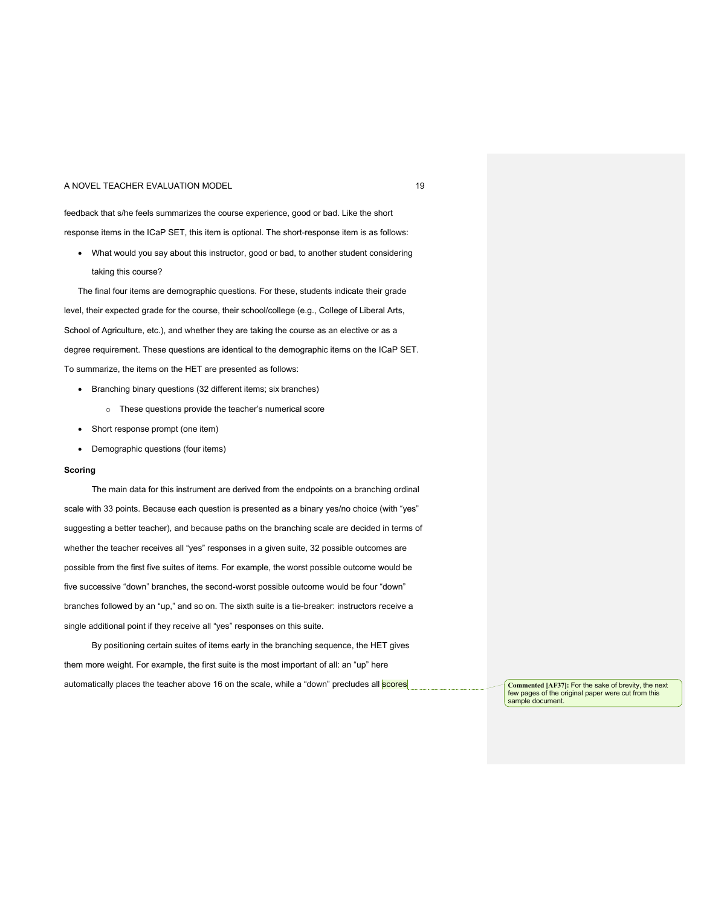feedback that s/he feels summarizes the course experience, good or bad. Like the short response items in the ICaP SET, this item is optional. The short-response item is as follows:

• What would you say about this instructor, good or bad, to another student considering taking this course?

The final four items are demographic questions. For these, students indicate their grade level, their expected grade for the course, their school/college (e.g., College of Liberal Arts, School of Agriculture, etc.), and whether they are taking the course as an elective or as a degree requirement. These questions are identical to the demographic items on the ICaP SET. To summarize, the items on the HET are presented as follows:

- Branching binary questions (32 different items; six branches)
	- o These questions provide the teacher's numerical score
- Short response prompt (one item)
- Demographic questions (four items)

## **Scoring**

The main data for this instrument are derived from the endpoints on a branching ordinal scale with 33 points. Because each question is presented as a binary yes/no choice (with "yes" suggesting a better teacher), and because paths on the branching scale are decided in terms of whether the teacher receives all "yes" responses in a given suite, 32 possible outcomes are possible from the first five suites of items. For example, the worst possible outcome would be five successive "down" branches, the second-worst possible outcome would be four "down" branches followed by an "up," and so on. The sixth suite is a tie-breaker: instructors receive a single additional point if they receive all "yes" responses on this suite.

By positioning certain suites of items early in the branching sequence, the HET gives them more weight. For example, the first suite is the most important of all: an "up" here automatically places the teacher above 16 on the scale, while a "down" precludes all **scores** 

Commented [AF37]: For the sake of brevity, the next<br>few pages of the original paper were cut from this sample document.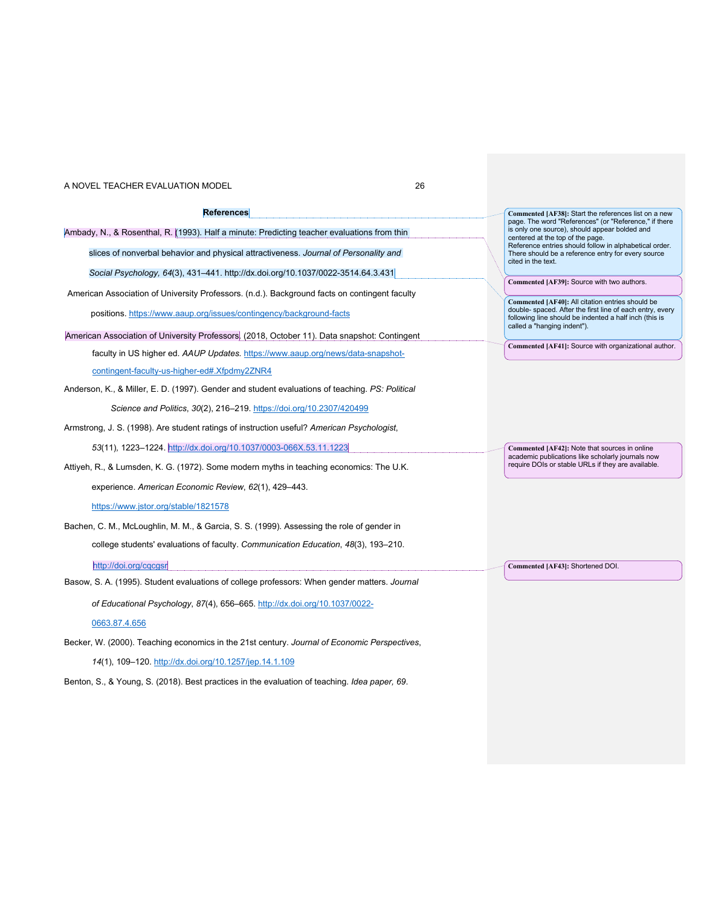| References                                                                                      |  | Commented [AF38]: Start the references list on a new<br>page. The word "References" (or "Reference," if there<br>is only one source), should appear bolded and<br>centered at the top of the page.     |
|-------------------------------------------------------------------------------------------------|--|--------------------------------------------------------------------------------------------------------------------------------------------------------------------------------------------------------|
| Ambady, N., & Rosenthal, R. (1993). Half a minute: Predicting teacher evaluations from thin     |  |                                                                                                                                                                                                        |
| slices of nonverbal behavior and physical attractiveness. Journal of Personality and            |  | Reference entries should follow in alphabetical order.<br>There should be a reference entry for every source<br>cited in the text.                                                                     |
| Social Psychology, 64(3), 431-441. http://dx.doi.org/10.1037/0022-3514.64.3.431                 |  | Commented [AF39]: Source with two authors.                                                                                                                                                             |
| American Association of University Professors. (n.d.). Background facts on contingent faculty   |  |                                                                                                                                                                                                        |
| positions. https://www.aaup.org/issues/contingency/background-facts                             |  | Commented [AF40]: All citation entries should be<br>double- spaced. After the first line of each entry, every<br>following line should be indented a half inch (this is<br>called a "hanging indent"). |
| American Association of University Professors. (2018, October 11). Data snapshot: Contingent    |  |                                                                                                                                                                                                        |
| faculty in US higher ed. AAUP Updates. https://www.aaup.org/news/data-snapshot-                 |  | Commented [AF41]: Source with organizational author.                                                                                                                                                   |
| contingent-faculty-us-higher-ed#.Xfpdmy2ZNR4                                                    |  |                                                                                                                                                                                                        |
| Anderson, K., & Miller, E. D. (1997). Gender and student evaluations of teaching. PS: Political |  |                                                                                                                                                                                                        |
| Science and Politics, 30(2), 216-219. https://doi.org/10.2307/420499                            |  |                                                                                                                                                                                                        |
| Armstrong, J. S. (1998). Are student ratings of instruction useful? American Psychologist,      |  |                                                                                                                                                                                                        |
| 53(11), 1223-1224. http://dx.doi.org/10.1037/0003-066X.53.11.1223                               |  | Commented [AF42]: Note that sources in online                                                                                                                                                          |
| Attiyeh, R., & Lumsden, K. G. (1972). Some modern myths in teaching economics: The U.K.         |  | academic publications like scholarly journals now<br>require DOIs or stable URLs if they are available.                                                                                                |
| experience. American Economic Review, 62(1), 429-443.                                           |  |                                                                                                                                                                                                        |
| https://www.jstor.org/stable/1821578                                                            |  |                                                                                                                                                                                                        |
| Bachen, C. M., McLoughlin, M. M., & Garcia, S. S. (1999). Assessing the role of gender in       |  |                                                                                                                                                                                                        |
| college students' evaluations of faculty. Communication Education, 48(3), 193-210.              |  |                                                                                                                                                                                                        |
| http://doi.org/cgcgsr                                                                           |  | Commented [AF43]: Shortened DOI.                                                                                                                                                                       |
| Basow, S. A. (1995). Student evaluations of college professors: When gender matters. Journal    |  |                                                                                                                                                                                                        |
| of Educational Psychology, 87(4), 656-665. http://dx.doi.org/10.1037/0022-                      |  |                                                                                                                                                                                                        |
| 0663.87.4.656                                                                                   |  |                                                                                                                                                                                                        |
| Becker, W. (2000). Teaching economics in the 21st century. Journal of Economic Perspectives,    |  |                                                                                                                                                                                                        |
| 14(1), 109-120. http://dx.doi.org/10.1257/jep.14.1.109                                          |  |                                                                                                                                                                                                        |

Benton, S., & Young, S. (2018). Best practices in the evaluation of teaching. *Idea paper, 69*.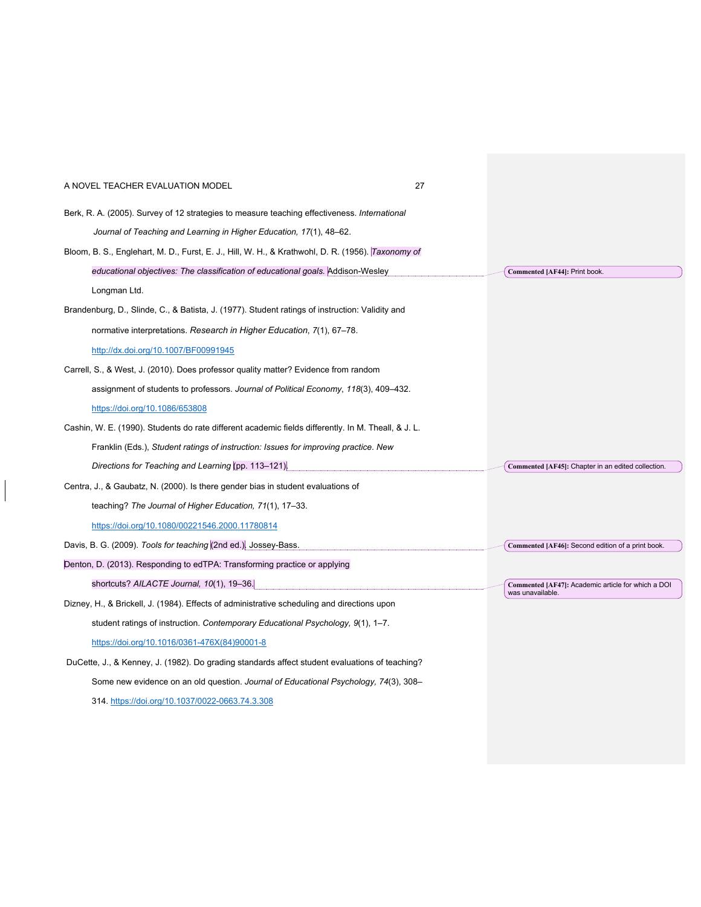| A NOVEL TEACHER EVALUATION MODEL                                                                    | 27 |                                                                        |
|-----------------------------------------------------------------------------------------------------|----|------------------------------------------------------------------------|
| Berk, R. A. (2005). Survey of 12 strategies to measure teaching effectiveness. International        |    |                                                                        |
| Journal of Teaching and Learning in Higher Education, 17(1), 48–62.                                 |    |                                                                        |
| Bloom, B. S., Englehart, M. D., Furst, E. J., Hill, W. H., & Krathwohl, D. R. (1956). Taxonomy of   |    |                                                                        |
| educational objectives: The classification of educational goals. Addison-Wesley                     |    | Commented [AF44]: Print book.                                          |
| Longman Ltd.                                                                                        |    |                                                                        |
| Brandenburg, D., Slinde, C., & Batista, J. (1977). Student ratings of instruction: Validity and     |    |                                                                        |
| normative interpretations. Research in Higher Education, 7(1), 67-78.                               |    |                                                                        |
| http://dx.doi.org/10.1007/BF00991945                                                                |    |                                                                        |
| Carrell, S., & West, J. (2010). Does professor quality matter? Evidence from random                 |    |                                                                        |
| assignment of students to professors. Journal of Political Economy, 118(3), 409–432.                |    |                                                                        |
| https://doi.org/10.1086/653808                                                                      |    |                                                                        |
| Cashin, W. E. (1990). Students do rate different academic fields differently. In M. Theall, & J. L. |    |                                                                        |
| Franklin (Eds.), Student ratings of instruction: Issues for improving practice. New                 |    |                                                                        |
| Directions for Teaching and Learning (pp. 113-121).                                                 |    | Commented [AF45]: Chapter in an edited collection.                     |
| Centra, J., & Gaubatz, N. (2000). Is there gender bias in student evaluations of                    |    |                                                                        |
| teaching? The Journal of Higher Education, 71(1), 17–33.                                            |    |                                                                        |
| https://doi.org/10.1080/00221546.2000.11780814                                                      |    |                                                                        |
| Davis, B. G. (2009). Tools for teaching (2nd ed.). Jossey-Bass.                                     |    | Commented [AF46]: Second edition of a print book.                      |
| Denton, D. (2013). Responding to edTPA: Transforming practice or applying                           |    |                                                                        |
| shortcuts? AILACTE Journal, 10(1), 19-36.                                                           |    | Commented [AF47]: Academic article for which a DOI<br>was unavailable. |
| Dizney, H., & Brickell, J. (1984). Effects of administrative scheduling and directions upon         |    |                                                                        |
| student ratings of instruction. Contemporary Educational Psychology, 9(1), 1–7.                     |    |                                                                        |
| https://doi.org/10.1016/0361-476X(84)90001-8                                                        |    |                                                                        |
| DuCette, J., & Kenney, J. (1982). Do grading standards affect student evaluations of teaching?      |    |                                                                        |
| Some new evidence on an old question. Journal of Educational Psychology, 74(3), 308–                |    |                                                                        |
| 314. https://doi.org/10.1037/0022-0663.74.3.308                                                     |    |                                                                        |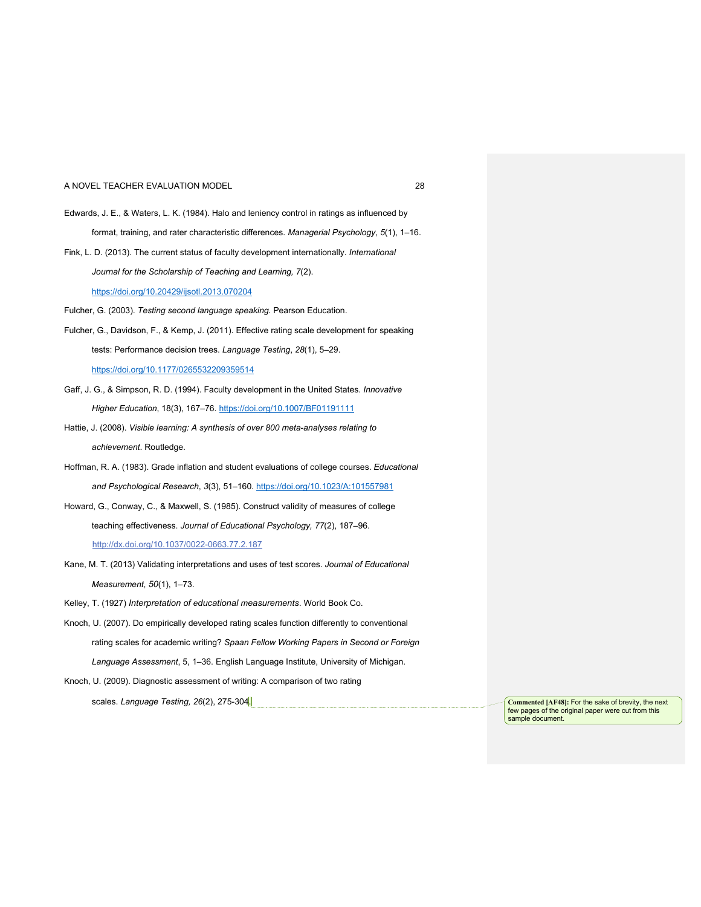- Edwards, J. E., & Waters, L. K. (1984). Halo and leniency control in ratings as influenced by format, training, and rater characteristic differences. *Managerial Psychology*, *5*(1), 1–16.
- Fink, L. D. (2013). The current status of faculty development internationally. *International Journal for the Scholarship of Teaching and Learning, 7*(2).

## https://doi.org/10.20429/ijsotl.2013.070204

Fulcher, G. (2003). *Testing second language speaking*. Pearson Education.

- Fulcher, G., Davidson, F., & Kemp, J. (2011). Effective rating scale development for speaking tests: Performance decision trees. *Language Testing*, *28*(1), 5–29. https://doi.org/10.1177/0265532209359514
- Gaff, J. G., & Simpson, R. D. (1994). Faculty development in the United States. *Innovative Higher Education*, 18(3), 167–76. https://doi.org/10.1007/BF01191111
- Hattie, J. (2008). *Visible learning: A synthesis of over 800 meta-analyses relating to achievement*. Routledge.
- Hoffman, R. A. (1983). Grade inflation and student evaluations of college courses. *Educational and Psychological Research*, *3*(3), 51–160. https://doi.org/10.1023/A:101557981
- Howard, G., Conway, C., & Maxwell, S. (1985). Construct validity of measures of college teaching effectiveness. *Journal of Educational Psychology, 77*(2), 187–96. http://dx.doi.org/10.1037/0022-0663.77.2.187
- Kane, M. T. (2013) Validating interpretations and uses of test scores. *Journal of Educational Measurement*, *50*(1), 1–73.
- Kelley, T. (1927) *Interpretation of educational measurements*. World Book Co.
- Knoch, U. (2007). Do empirically developed rating scales function differently to conventional rating scales for academic writing? *Spaan Fellow Working Papers in Second or Foreign Language Assessment*, 5, 1–36. English Language Institute, University of Michigan.
- Knoch, U. (2009). Diagnostic assessment of writing: A comparison of two rating

scales. *Language Testing, 26*(2), 275-304. **Commented [AF48]:** For the sake of brevity, the next

few pages of the original paper were cut from this sample document.